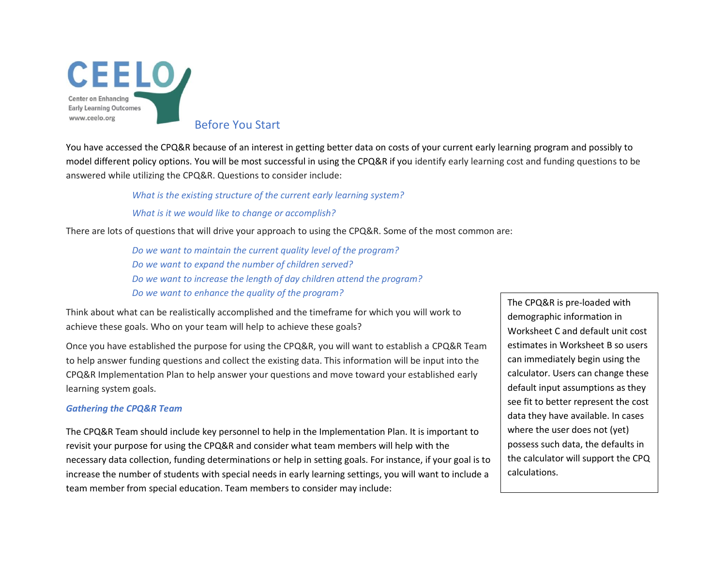

Before You Start

You have accessed the CPQ&R because of an interest in getting better data on costs of your current early learning program and possibly to model different policy options. You will be most successful in using the CPQ&R if you identify early learning cost and funding questions to be answered while utilizing the CPQ&R. Questions to consider include:

*What is the existing structure of the current early learning system?*

*What is it we would like to change or accomplish?*

There are lots of questions that will drive your approach to using the CPQ&R. Some of the most common are:

*Do we want to maintain the current quality level of the program? Do we want to expand the number of children served? Do we want to increase the length of day children attend the program? Do we want to enhance the quality of the program?*

Think about what can be realistically accomplished and the timeframe for which you will work to achieve these goals. Who on your team will help to achieve these goals?

Once you have established the purpose for using the CPQ&R, you will want to establish a CPQ&R Team to help answer funding questions and collect the existing data. This information will be input into the CPQ&R Implementation Plan to help answer your questions and move toward your established early learning system goals.

## *Gathering the CPQ&R Team*

The CPQ&R Team should include key personnel to help in the Implementation Plan. It is important to revisit your purpose for using the CPQ&R and consider what team members will help with the necessary data collection, funding determinations or help in setting goals. For instance, if your goal is to increase the number of students with special needs in early learning settings, you will want to include a team member from special education. Team members to consider may include:

The CPQ&R is pre-loaded with demographic information in Worksheet C and default unit cost estimates in Worksheet B so users can immediately begin using the calculator. Users can change these default input assumptions as they see fit to better represent the cost data they have available. In cases where the user does not (yet) possess such data, the defaults in the calculator will support the CPQ calculations.